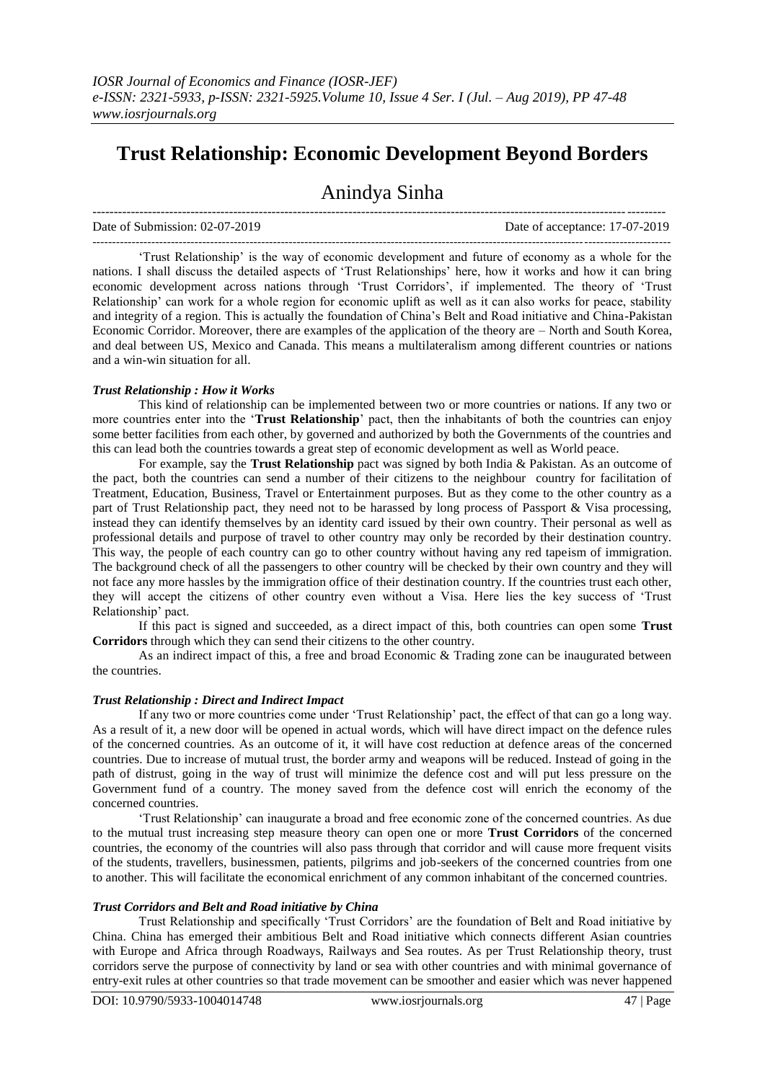# **Trust Relationship: Economic Development Beyond Borders**

## Anindya Sinha

Date of Submission: 02-07-2019 Date of acceptance: 17-07-2019

--------------------------------------------------------------------------------------------------------------------------------------

--------------------------------------------------------------------------------------------------------------------------------------------------- 'Trust Relationship' is the way of economic development and future of economy as a whole for the nations. I shall discuss the detailed aspects of 'Trust Relationships' here, how it works and how it can bring economic development across nations through 'Trust Corridors', if implemented. The theory of 'Trust Relationship' can work for a whole region for economic uplift as well as it can also works for peace, stability and integrity of a region. This is actually the foundation of China's Belt and Road initiative and China-Pakistan Economic Corridor. Moreover, there are examples of the application of the theory are – North and South Korea, and deal between US, Mexico and Canada. This means a multilateralism among different countries or nations and a win-win situation for all.

#### *Trust Relationship : How it Works*

This kind of relationship can be implemented between two or more countries or nations. If any two or more countries enter into the '**Trust Relationship**' pact, then the inhabitants of both the countries can enjoy some better facilities from each other, by governed and authorized by both the Governments of the countries and this can lead both the countries towards a great step of economic development as well as World peace.

For example, say the **Trust Relationship** pact was signed by both India & Pakistan. As an outcome of the pact, both the countries can send a number of their citizens to the neighbour country for facilitation of Treatment, Education, Business, Travel or Entertainment purposes. But as they come to the other country as a part of Trust Relationship pact, they need not to be harassed by long process of Passport & Visa processing, instead they can identify themselves by an identity card issued by their own country. Their personal as well as professional details and purpose of travel to other country may only be recorded by their destination country. This way, the people of each country can go to other country without having any red tapeism of immigration. The background check of all the passengers to other country will be checked by their own country and they will not face any more hassles by the immigration office of their destination country. If the countries trust each other, they will accept the citizens of other country even without a Visa. Here lies the key success of 'Trust Relationship' pact.

If this pact is signed and succeeded, as a direct impact of this, both countries can open some **Trust Corridors** through which they can send their citizens to the other country.

As an indirect impact of this, a free and broad Economic & Trading zone can be inaugurated between the countries.

### *Trust Relationship : Direct and Indirect Impact*

If any two or more countries come under 'Trust Relationship' pact, the effect of that can go a long way. As a result of it, a new door will be opened in actual words, which will have direct impact on the defence rules of the concerned countries. As an outcome of it, it will have cost reduction at defence areas of the concerned countries. Due to increase of mutual trust, the border army and weapons will be reduced. Instead of going in the path of distrust, going in the way of trust will minimize the defence cost and will put less pressure on the Government fund of a country. The money saved from the defence cost will enrich the economy of the concerned countries.

'Trust Relationship' can inaugurate a broad and free economic zone of the concerned countries. As due to the mutual trust increasing step measure theory can open one or more **Trust Corridors** of the concerned countries, the economy of the countries will also pass through that corridor and will cause more frequent visits of the students, travellers, businessmen, patients, pilgrims and job-seekers of the concerned countries from one to another. This will facilitate the economical enrichment of any common inhabitant of the concerned countries.

#### *Trust Corridors and Belt and Road initiative by China*

Trust Relationship and specifically 'Trust Corridors' are the foundation of Belt and Road initiative by China. China has emerged their ambitious Belt and Road initiative which connects different Asian countries with Europe and Africa through Roadways, Railways and Sea routes. As per Trust Relationship theory, trust corridors serve the purpose of connectivity by land or sea with other countries and with minimal governance of entry-exit rules at other countries so that trade movement can be smoother and easier which was never happened